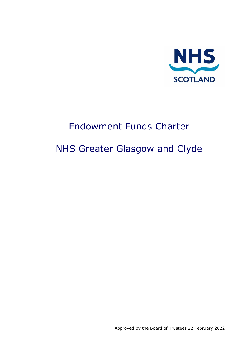

# Endowment Funds Charter

# NHS Greater Glasgow and Clyde

Approved by the Board of Trustees 22 February 2022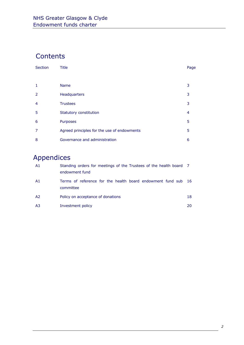# Contents

| <b>Section</b> | <b>Title</b>                                | Page |
|----------------|---------------------------------------------|------|
|                |                                             |      |
| $\mathbf{1}$   | <b>Name</b>                                 | 3    |
| 2              | Headquarters                                | 3    |
| 4              | <b>Trustees</b>                             | 3    |
| 5              | Statutory constitution                      | 4    |
| 6              | Purposes                                    | 5    |
| $\overline{7}$ | Agreed principles for the use of endowments | 5    |
| 8              | Governance and administration               | 6    |

# Appendices

| A1 | Standing orders for meetings of the Trustees of the health board 7<br>endowment fund |      |
|----|--------------------------------------------------------------------------------------|------|
| A1 | Terms of reference for the health board endowment fund sub<br>committee              | - 16 |
| A2 | Policy on acceptance of donations                                                    | 18   |
| A3 | Investment policy                                                                    | 20   |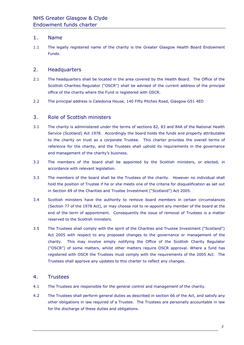#### 1. Name

1.1 The legally registered name of the charity is the Greater Glasgow Health Board Endowment Funds.

#### 2. Headquarters

- 2.1 The headquarters shall be located in the area covered by the Health Board. The Office of the Scottish Charities Regulator ("OSCR") shall be advised of the current address of the principal office of the charity where the Fund is registered with OSCR.
- 2.2 The principal address is Caledonia House, 140 Fifty Pitches Road, Glasgow G51 4ED

#### 3. Role of Scottish ministers

- 3.1 The charity is administered under the terms of sections 82, 83 and 84A of the National Health Service (Scotland) Act 1978. Accordingly the board holds the funds and property attributable to the charity on trust as a corporate Trustee. This charter provides the overall terms of reference for the charity, and the Trustees shall uphold its requirements in the governance and management of the charity's business.
- 3.2 The members of the board shall be appointed by the Scottish ministers, or elected, in accordance with relevant legislation.
- 3.3 The members of the board shall be the Trustees of the charity. However no individual shall hold the position of Trustee if he or she meets one of the criteria for disqualification as set out in Section 69 of the Charities and Trustee Investment ("Scotland") Act 2005.
- 3.4 Scottish ministers have the authority to remove board members in certain circumstances (Section 77 of the 1978 Act), or may choose not to re-appoint any member of the board at the end of the term of appointment. Consequently the issue of removal of Trustees is a matter reserved to the Scottish ministers.
- 3.5 The Trustees shall comply with the spirit of the Charities and Trustee Investment ("Scotland") Act 2005 with respect to any proposed changes to the governance or management of the charity. This may involve simply notifying the Office of the Scottish Charity Regulator ("OSCR") of some matters, whilst other matters require OSCR approval. Where a fund has registered with OSCR the Trustees must comply with the requirements of the 2005 Act. The Trustees shall approve any updates to this charter to reflect any changes.

#### 4. Trustees

- 4.1 The Trustees are responsible for the general control and management of the charity.
- 4.2 The Trustees shall perform general duties as described in section 66 of the Act, and satisfy any other obligations in law required of a Trustee. The Trustees are personally accountable in law for the discharge of these duties and obligations.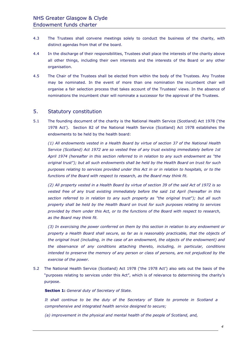- 4.3 The Trustees shall convene meetings solely to conduct the business of the charity, with distinct agendas from that of the board.
- 4.4 In the discharge of their responsibilities, Trustees shall place the interests of the charity above all other things, including their own interests and the interests of the Board or any other organisation.
- 4.5 The Chair of the Trustees shall be elected from within the body of the Trustees. Any Trustee may be nominated. In the event of more than one nomination the incumbent chair will organise a fair selection process that takes account of the Trustees' views. In the absence of nominations the incumbent chair will nominate a successor for the approval of the Trustees.

#### 5. Statutory constitution

5.1 The founding document of the charity is the National Health Service (Scotland) Act 1978 ('the 1978 Act'). Section 82 of the National Health Service (Scotland) Act 1978 establishes the endowments to be held by the health board:

*(1) All endowments vested in a Health Board by virtue of section 37 of the National Health Service (Scotland) Act 1972 are so vested free of any trust existing immediately before 1st April 1974 (hereafter in this section referred to in relation to any such endowment as "the original trust"); but all such endowments shall be held by the Health Board on trust for such purposes relating to services provided under this Act in or in relation to hospitals, or to the functions of the Board with respect to research, as the Board may think fit.*

*(2) All property vested in a Health Board by virtue of section 39 of the said Act of 1972 is so vested free of any trust existing immediately before the said 1st April (hereafter in this section referred to in relation to any such property as "the original trust"); but all such property shall be held by the Health Board on trust for such purposes relating to services provided by them under this Act, or to the functions of the Board with respect to research, as the Board may think fit.*

*(3) In exercising the power conferred on them by this section in relation to any endowment or property a Health Board shall secure, so far as is reasonably practicable, that the objects of the original trust (including, in the case of an endowment, the objects of the endowment) and the observance of any conditions attaching thereto, including, in particular, conditions intended to preserve the memory of any person or class of persons, are not prejudiced by the exercise of the power.*

5.2 The National Health Service (Scotland) Act 1978 ('the 1978 Act') also sets out the basis of the "purposes relating to services under this Act", which is of relevance to determining the charity's purpose.

**Section 1:** *General duty of Secretary of State.*

*It shall continue to be the duty of the Secretary of State to promote in Scotland a comprehensive and integrated health service designed to secure;*

*(a) improvement in the physical and mental health of the people of Scotland, and,*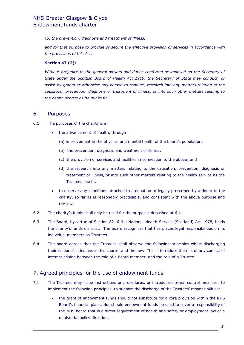*(b) the prevention, diagnosis and treatment of illness,*

*and for that purpose to provide or secure the effective provision of services in accordance with the provisions of this Act.*

#### **Section 47 (2):**

Without prejudice to the general powers and duties conferred or imposed on the Secretary of *State under the Scottish Board of Health Act 1919, the Secretary of State may conduct, or assist by grants or otherwise any person to conduct, research into any matters relating to the causation, prevention, diagnosis or treatment of illness, or into such other matters relating to the health service as he thinks fit.*

#### 6. Purposes

- 6.1 The purposes of the charity are:
	- the advancement of health, through:
		- (a) improvement in the physical and mental health of the board's population;
		- (b) the prevention, diagnosis and treatment of illness;
		- (c) the provision of services and facilities in connection to the above; and
		- (d) the research into any matters relating to the causation, prevention, diagnosis or treatment of illness, or into such other matters relating to the health service as the Trustees see fit.
	- to observe any conditions attached to a donation or legacy prescribed by a donor to the charity, so far as is reasonably practicable, and consistent with the above purpose and the law.
- 6.2 The charity's funds shall only be used for the purposes described at 6.1.
- 6.3 The Board, by virtue of Section 82 of the National Health Service (Scotland) Act 1978, holds the charity's funds on trust. The board recognises that this places legal responsibilities on its individual members as Trustees.
- 6.4 The board agrees that the Trustees shall observe the following principles whilst discharging their responsibilities under this charter and the law. This is to reduce the risk of any conflict of interest arising between the role of a Board member, and the role of a Trustee.

#### 7. Agreed principles for the use of endowment funds

- 7.1 The Trustees may issue instructions or procedures, or introduce internal control measures to implement the following principles, to support the discharge of the Trustees' responsibilities:
	- the grant of endowment funds should not substitute for a core provision within the NHS Board's financial plans. Nor should endowment funds be used to cover a responsibility of the NHS board that is a direct requirement of health and safety or employment law or a ministerial policy direction.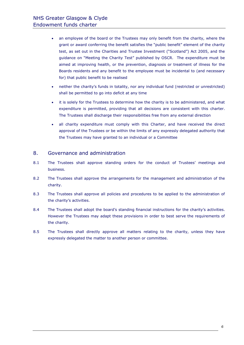- an employee of the board or the Trustees may only benefit from the charity, where the grant or award conferring the benefit satisfies the "public benefit" element of the charity test, as set out in the Charities and Trustee Investment ("Scotland") Act 2005, and the guidance on "Meeting the Charity Test" published by OSCR. The expenditure must be aimed at improving health, or the prevention, diagnosis or treatment of illness for the Boards residents and any benefit to the employee must be incidental to (and necessary for) that public benefit to be realised
- neither the charity's funds in totality, nor any individual fund (restricted or unrestricted) shall be permitted to go into deficit at any time
- it is solely for the Trustees to determine how the charity is to be administered, and what expenditure is permitted, providing that all decisions are consistent with this charter. The Trustees shall discharge their responsibilities free from any external direction
- all charity expenditure must comply with this Charter, and have received the direct approval of the Trustees or be within the limits of any expressly delegated authority that the Trustees may have granted to an individual or a Committee

#### 8. Governance and administration

- 8.1 The Trustees shall approve standing orders for the conduct of Trustees' meetings and business.
- 8.2 The Trustees shall approve the arrangements for the management and administration of the charity.
- 8.3 The Trustees shall approve all policies and procedures to be applied to the administration of the charity's activities.
- 8.4 The Trustees shall adopt the board's standing financial instructions for the charity's activities. However the Trustees may adapt these provisions in order to best serve the requirements of the charity.
- 8.5 The Trustees shall directly approve all matters relating to the charity, unless they have expressly delegated the matter to another person or committee.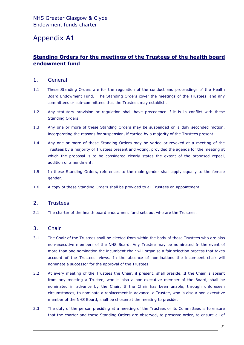### Appendix A1

#### **Standing Orders for the meetings of the Trustees of the health board endowment fund**

#### 1. General

- 1.1 These Standing Orders are for the regulation of the conduct and proceedings of the Health Board Endowment Fund. The Standing Orders cover the meetings of the Trustees, and any committees or sub-committees that the Trustees may establish.
- 1.2 Any statutory provision or regulation shall have precedence if it is in conflict with these Standing Orders.
- 1.3 Any one or more of these Standing Orders may be suspended on a duly seconded motion, incorporating the reasons for suspension, if carried by a majority of the Trustees present.
- 1.4 Any one or more of these Standing Orders may be varied or revoked at a meeting of the Trustees by a majority of Trustees present and voting, provided the agenda for the meeting at which the proposal is to be considered clearly states the extent of the proposed repeal, addition or amendment.
- 1.5 In these Standing Orders, references to the male gender shall apply equally to the female gender.
- 1.6 A copy of these Standing Orders shall be provided to all Trustees on appointment.

#### 2. Trustees

2.1 The charter of the health board endowment fund sets out who are the Trustees.

#### 3. Chair

- 3.1 The Chair of the Trustees shall be elected from within the body of those Trustees who are also non-executive members of the NHS Board. Any Trustee may be nominated In the event of more than one nomination the incumbent chair will organise a fair selection process that takes account of the Trustees' views. In the absence of nominations the incumbent chair will nominate a successor for the approval of the Trustees.
- 3.2 At every meeting of the Trustees the Chair, if present, shall preside. If the Chair is absent from any meeting a Trustee, who is also a non-executive member of the Board, shall be nominated in advance by the Chair. If the Chair has been unable, through unforeseen circumstances, to nominate a replacement in advance, a Trustee, who is also a non-executive member of the NHS Board, shall be chosen at the meeting to preside.
- 3.3 The duty of the person presiding at a meeting of the Trustees or its Committees is to ensure that the charter and these Standing Orders are observed, to preserve order, to ensure all of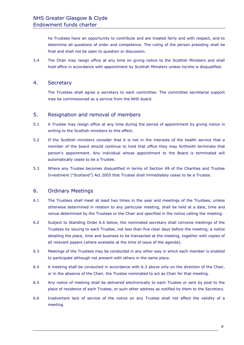he Trustees have an opportunity to contribute and are treated fairly and with respect, and to determine all questions of order and competence. The ruling of the person presiding shall be final and shall not be open to question or discussion.

3.4 The Chair may resign office at any time on giving notice to the Scottish Ministers and shall hold office in accordance with appointment by Scottish Ministers unless he/she is disqualified.

#### 4. Secretary

The Trustees shall agree a secretary to each committee. The committee secretarial support may be commissioned as a service from the NHS board.

#### 5. Resignation and removal of members

- 5.1 A Trustee may resign office at any time during the period of appointment by giving notice in writing to the Scottish ministers to this effect.
- 5.2 If the Scottish ministers consider that it is not in the interests of the health service that a member of the board should continue to hold that office they may forthwith terminate that person's appointment. Any individual whose appointment to the Board is terminated will automatically cease to be a Trustee.
- 5.3 Where any Trustee becomes disqualified in terms of Section 69 of the Charities and Trustee Investment ("Scotland") Act 2005 that Trustee shall immediately cease to be a Trustee.

#### 6. Ordinary Meetings

- 6.1 The Trustees shall meet at least two times in the year and meetings of the Trustees, unless otherwise determined in relation to any particular meeting, shall be held at a date, time and venue determined by the Trustees or the Chair and specified in the notice calling the meeting.
- 6.2 Subject to Standing Order 6.6 below, the nominated secretary shall convene meetings of the Trustees by issuing to each Trustee, not less than five clear days before the meeting, a notice detailing the place, time and business to be transacted at the meeting, together with copies of all relevant papers (where available at the time of issue of the agenda).
- 6.3 Meetings of the Trustees may be conducted in any other way in which each member is enabled to participate although not present with others in the same place.
- 6.4 A meeting shall be conducted in accordance with 6.3 above only on the direction of the Chair, or in the absence of the Chair, the Trustee nominated to act as Chair for that meeting.
- 6.5 Any notice of meeting shall be delivered electronically to each Trustee or sent by post to the place of residence of each Trustee, or such other address as notified by them to the Secretary.
- 6.6 Inadvertent lack of service of the notice on any Trustee shall not affect the validity of a meeting.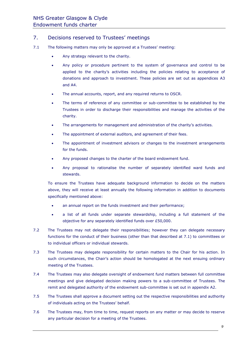#### 7. Decisions reserved to Trustees' meetings

- 7.1 The following matters may only be approved at a Trustees' meeting:
	- Any strategy relevant to the charity.
	- Any policy or procedure pertinent to the system of governance and control to be applied to the charity's activities including the policies relating to acceptance of donations and approach to investment. These policies are set out as appendices A3 and A4.
	- The annual accounts, report, and any required returns to OSCR.
	- The terms of reference of any committee or sub-committee to be established by the Trustees in order to discharge their responsibilities and manage the activities of the charity.
	- The arrangements for management and administration of the charity's activities.
	- The appointment of external auditors, and agreement of their fees.
	- The appointment of investment advisors or changes to the investment arrangements for the funds.
	- Any proposed changes to the charter of the board endowment fund.
	- Any proposal to rationalise the number of separately identified ward funds and stewards.

To ensure the Trustees have adequate background information to decide on the matters above, they will receive at least annually the following information in addition to documents specifically mentioned above:

- an annual report on the funds investment and their performance;
- a list of all funds under separate stewardship, including a full statement of the objective for any separately identified funds over £50,000.
- 7.2 The Trustees may not delegate their responsibilities; however they can delegate necessary functions for the conduct of their business (other than that described at 7.1) to committees or to individual officers or individual stewards.
- 7.3 The Trustees may delegate responsibility for certain matters to the Chair for his action. In such circumstances, the Chair's action should be homologated at the next ensuing ordinary meeting of the Trustees.
- 7.4 The Trustees may also delegate oversight of endowment fund matters between full committee meetings and give delegated decision making powers to a sub-committee of Trustees. The remit and delegated authority of the endowment sub-committee is set out in appendix A2.
- 7.5 The Trustees shall approve a document setting out the respective responsibilities and authority of individuals acting on the Trustees' behalf.
- 7.6 The Trustees may, from time to time, request reports on any matter or may decide to reserve any particular decision for a meeting of the Trustees.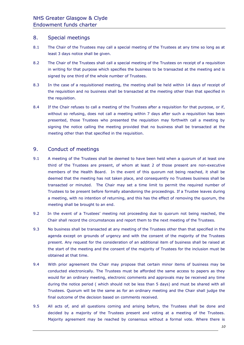#### 8. Special meetings

- 8.1 The Chair of the Trustees may call a special meeting of the Trustees at any time so long as at least 3 days notice shall be given.
- 8.2 The Chair of the Trustees shall call a special meeting of the Trustees on receipt of a requisition in writing for that purpose which specifies the business to be transacted at the meeting and is signed by one third of the whole number of Trustees.
- 8.3 In the case of a requisitioned meeting, the meeting shall be held within 14 days of receipt of the requisition and no business shall be transacted at the meeting other than that specified in the requisition.
- 8.4 If the Chair refuses to call a meeting of the Trustees after a requisition for that purpose, or if, without so refusing, does not call a meeting within 7 days after such a requisition has been presented, those Trustees who presented the requisition may forthwith call a meeting by signing the notice calling the meeting provided that no business shall be transacted at the meeting other than that specified in the requisition.

#### 9. Conduct of meetings

- 9.1 A meeting of the Trustees shall be deemed to have been held when a quorum of at least one third of the Trustees are present, of whom at least 2 of those present are non-executive members of the Health Board. In the event of this quorum not being reached, it shall be deemed that the meeting has not taken place, and consequently no Trustees business shall be transacted or minuted. The Chair may set a time limit to permit the required number of Trustees to be present before formally abandoning the proceedings. If a Trustee leaves during a meeting, with no intention of returning, and this has the effect of removing the quorum, the meeting shall be brought to an end.
- 9.2 In the event of a Trustees' meeting not proceeding due to quorum not being reached, the Chair shall record the circumstances and report them to the next meeting of the Trustees.
- 9.3 No business shall be transacted at any meeting of the Trustees other than that specified in the agenda except on grounds of urgency and with the consent of the majority of the Trustees present. Any request for the consideration of an additional item of business shall be raised at the start of the meeting and the consent of the majority of Trustees for the inclusion must be obtained at that time.
- 9.4 With prior agreement the Chair may propose that certain minor items of business may be conducted electronically. The Trustees must be afforded the same access to papers as they would for an ordinary meeting, electronic comments and approvals may be received any time during the notice period ( which should not be less than 5 days) and must be shared with all Trustees. Quorum will be the same as for an ordinary meeting and the Chair shall judge the final outcome of the decision based on comments received.
- 9.5 All acts of, and all questions coming and arising before, the Trustees shall be done and decided by a majority of the Trustees present and voting at a meeting of the Trustees. Majority agreement may be reached by consensus without a formal vote. Where there is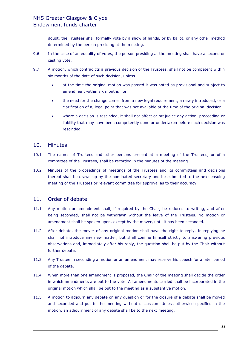doubt, the Trustees shall formally vote by a show of hands, or by ballot, or any other method determined by the person presiding at the meeting.

- 9.6 In the case of an equality of votes, the person presiding at the meeting shall have a second or casting vote.
- 9.7 A motion, which contradicts a previous decision of the Trustees, shall not be competent within six months of the date of such decision, unless
	- at the time the original motion was passed it was noted as provisional and subject to amendment within six months or
	- the need for the change comes from a new legal requirement, a newly introduced, or a clarification of a, legal point that was not available at the time of the original decision.
	- where a decision is rescinded, it shall not affect or prejudice any action, proceeding or liability that may have been competently done or undertaken before such decision was rescinded.

#### 10. Minutes

- 10.1 The names of Trustees and other persons present at a meeting of the Trustees, or of a committee of the Trustees, shall be recorded in the minutes of the meeting.
- 10.2 Minutes of the proceedings of meetings of the Trustees and its committees and decisions thereof shall be drawn up by the nominated secretary and be submitted to the next ensuing meeting of the Trustees or relevant committee for approval as to their accuracy.

#### 11. Order of debate

- 11.1 Any motion or amendment shall, if required by the Chair, be reduced to writing, and after being seconded, shall not be withdrawn without the leave of the Trustees. No motion or amendment shall be spoken upon, except by the mover, until it has been seconded.
- 11.2 After debate, the mover of any original motion shall have the right to reply. In replying he shall not introduce any new matter, but shall confine himself strictly to answering previous observations and, immediately after his reply, the question shall be put by the Chair without further debate.
- 11.3 Any Trustee in seconding a motion or an amendment may reserve his speech for a later period of the debate.
- 11.4 When more than one amendment is proposed, the Chair of the meeting shall decide the order in which amendments are put to the vote. All amendments carried shall be incorporated in the original motion which shall be put to the meeting as a substantive motion.
- 11.5 A motion to adjourn any debate on any question or for the closure of a debate shall be moved and seconded and put to the meeting without discussion. Unless otherwise specified in the motion, an adjournment of any debate shall be to the next meeting.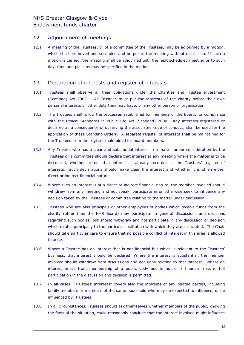#### 12. Adjournment of meetings

12.1 A meeting of the Trustees, or of a committee of the Trustees, may be adjourned by a motion, which shall be moved and seconded and be put to the meeting without discussion. If such a motion is carried, the meeting shall be adjourned until the next scheduled meeting or to such day, time and place as may be specified in the motion.

#### 13. Declaration of interests and register of interests

- 13.1 Trustees shall observe all their obligations under the Charities and Trustee Investment (Scotland) Act 2005. All Trustees must put the interests of the charity before their own personal interests or other duty they may have, or any other person or organisation.
- 13.2 The Trustees shall follow the processes established for members of the board, for compliance with the Ethical Standards in Public Life Act (Scotland) 2000. Any interests registered or declared as a consequence of observing the associated code of conduct, shall be used for the application of these Standing Orders. A separate register of interests shall be maintained for the Trustees from the register maintained for board members.
- 13.3 Any Trustee who has a clear and substantial interest in a matter under consideration by the Trustees or a committee should declare that interest at any meeting where the matter is to be discussed, whether or not that interest is already recorded in the Trustees' register of interests. Such declarations should make clear the interest and whether it is of an either direct or indirect financial nature.
- 13.4 Where such an interest is of a direct or indirect financial nature, the member involved should withdraw from any meeting and not speak, participate in or otherwise seek to influence any decision taken by the Trustees or committee relating to the matter under discussion.
- 13.5 Trustees who are also principals or other employees of bodies which receive funds from the charity (other than the NHS Board) may participate in general discussions and decisions regarding such bodies, but should withdraw and not participate in any discussion or decision which relates principally to the particular institution with which they are associated. The Chair should take particular care to ensure that no possible conflict of interest in this area is allowed to arise.
- 13.6 Where a Trustee has an interest that is not financial but which is relevant to the Trustees' business, that interest should be declared. Where the interest is substantial, the member involved should withdraw from discussions and decisions relating to that interest. Where an interest arises from membership of a public body and is not of a financial nature, full participation in the discussion and decision is permitted.
- 13.7 In all cases, "Trustees' interests" covers also the interests of any related parties, including family members or members of the same household who may be expected to influence, or be influenced by, Trustees.
- 13.8 In all circumstances, Trustees should ask themselves whether members of the public, knowing the facts of the situation, could reasonably conclude that the interest involved might influence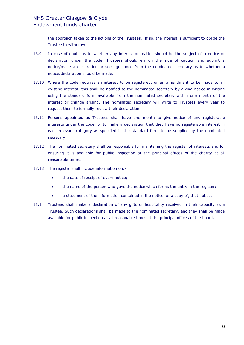the approach taken to the actions of the Trustees. If so, the interest is sufficient to oblige the Trustee to withdraw.

- 13.9 In case of doubt as to whether any interest or matter should be the subject of a notice or declaration under the code, Trustees should err on the side of caution and submit a notice/make a declaration or seek guidance from the nominated secretary as to whether a notice/declaration should be made.
- 13.10 Where the code requires an interest to be registered, or an amendment to be made to an existing interest, this shall be notified to the nominated secretary by giving notice in writing using the standard form available from the nominated secretary within one month of the interest or change arising. The nominated secretary will write to Trustees every year to request them to formally review their declaration.
- 13.11 Persons appointed as Trustees shall have one month to give notice of any registerable interests under the code, or to make a declaration that they have no registerable interest in each relevant category as specified in the standard form to be supplied by the nominated secretary.
- 13.12 The nominated secretary shall be responsible for maintaining the register of interests and for ensuring it is available for public inspection at the principal offices of the charity at all reasonable times.
- 13.13 The register shall include information on:-
	- the date of receipt of every notice;
	- the name of the person who gave the notice which forms the entry in the register;
	- a statement of the information contained in the notice, or a copy of, that notice.
- 13.14 Trustees shall make a declaration of any gifts or hospitality received in their capacity as a Trustee. Such declarations shall be made to the nominated secretary, and they shall be made available for public inspection at all reasonable times at the principal offices of the board.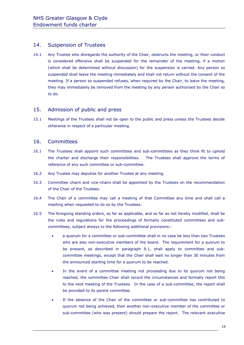#### 14. Suspension of Trustees

14.1 Any Trustee who disregards the authority of the Chair, obstructs the meeting, or their conduct is considered offensive shall be suspended for the remainder of the meeting, if a motion (which shall be determined without discussion) for the suspension is carried. Any person so suspended shall leave the meeting immediately and shall not return without the consent of the meeting. If a person so suspended refuses, when required by the Chair, to leave the meeting, they may immediately be removed from the meeting by any person authorised by the Chair so to do.

#### 15. Admission of public and press

15.1 Meetings of the Trustees shall not be open to the public and press unless the Trustees decide otherwise in respect of a particular meeting.

#### 16. Committees

- 16.1 The Trustees shall appoint such committees and sub-committees as they think fit to uphold the charter and discharge their responsibilities. The Trustees shall approve the terms of reference of any such committee or sub-committee.
- 16.2 Any Trustee may deputise for another Trustee at any meeting.
- 16.3 Committee chairs and vice-chairs shall be appointed by the Trustees on the recommendation of the Chair of the Trustees.
- 16.4 The Chair of a committee may call a meeting of that Committee any time and shall call a meeting when requested to do so by the Trustees.
- 16.5 The foregoing standing orders, so far as applicable, and so far as not hereby modified, shall be the rules and regulations for the proceedings of formally constituted committees and subcommittees, subject always to the following additional provisions:-
	- a quorum for a committee or sub-committee shall in no case be less than two Trustees who are also non-executive members of the board. The requirement for a quorum to be present, as described in paragraph 9.1, shall apply to committee and subcommittee meetings, except that the Chair shall wait no longer than 30 minutes from the announced starting time for a quorum to be reached.
	- In the event of a committee meeting not proceeding due to its quorum not being reached, the committee Chair shall record the circumstances and formally report this to the next meeting of the Trustees. In the case of a sub-committee, the report shall be provided to its parent committee.
	- If the absence of the Chair of the committee or sub-committee has contributed to quorum not being achieved, then another non-executive member of the committee or sub-committee (who was present) should prepare the report. The relevant executive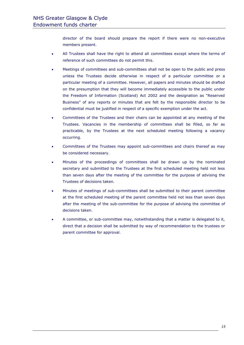director of the board should prepare the report if there were no non-executive members present.

- All Trustees shall have the right to attend all committees except where the terms of reference of such committees do not permit this.
- Meetings of committees and sub-committees shall not be open to the public and press unless the Trustees decide otherwise in respect of a particular committee or a particular meeting of a committee. However, all papers and minutes should be drafted on the presumption that they will become immediately accessible to the public under the Freedom of Information (Scotland) Act 2002 and the designation as "Reserved Business" of any reports or minutes that are felt by the responsible director to be confidential must be justified in respect of a specific exemption under the act.
- Committees of the Trustees and their chairs can be appointed at any meeting of the Trustees. Vacancies in the membership of committees shall be filled, so far as practicable, by the Trustees at the next scheduled meeting following a vacancy occurring.
- Committees of the Trustees may appoint sub-committees and chairs thereof as may be considered necessary.
- Minutes of the proceedings of committees shall be drawn up by the nominated secretary and submitted to the Trustees at the first scheduled meeting held not less than seven days after the meeting of the committee for the purpose of advising the Trustees of decisions taken.
- Minutes of meetings of sub-committees shall be submitted to their parent committee at the first scheduled meeting of the parent committee held not less than seven days after the meeting of the sub-committee for the purpose of advising the committee of decisions taken.
- A committee, or sub-committee may, notwithstanding that a matter is delegated to it, direct that a decision shall be submitted by way of recommendation to the trustees or parent committee for approval.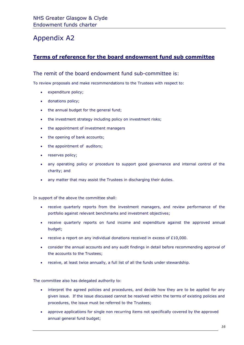## Appendix A2

#### **Terms of reference for the board endowment fund sub committee**

#### The remit of the board endowment fund sub-committee is:

To review proposals and make recommendations to the Trustees with respect to:

- expenditure policy;
- donations policy;
- the annual budget for the general fund;
- the investment strategy including policy on investment risks;
- the appointment of investment managers
- the opening of bank accounts;
- the appointment of auditors;
- reserves policy;
- any operating policy or procedure to support good governance and internal control of the charity; and
- any matter that may assist the Trustees in discharging their duties.

In support of the above the committee shall:

- receive quarterly reports from the investment managers, and review performance of the portfolio against relevant benchmarks and investment objectives;
- receive quarterly reports on fund income and expenditure against the approved annual budget;
- receive a report on any individual donations received in excess of  $£10,000$ .
- consider the annual accounts and any audit findings in detail before recommending approval of the accounts to the Trustees;
- receive, at least twice annually, a full list of all the funds under stewardship.

The committee also has delegated authority to:

- interpret the agreed policies and procedures, and decide how they are to be applied for any given issue. If the issue discussed cannot be resolved within the terms of existing policies and procedures, the issue must be referred to the Trustees;
- approve applications for single non recurring items not specifically covered by the approved annual general fund budget;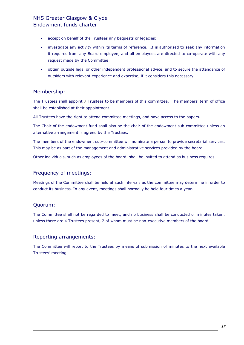- accept on behalf of the Trustees any bequests or legacies;
- investigate any activity within its terms of reference. It is authorised to seek any information it requires from any Board employee, and all employees are directed to co-operate with any request made by the Committee;
- obtain outside legal or other independent professional advice, and to secure the attendance of outsiders with relevant experience and expertise, if it considers this necessary.

#### Membership:

The Trustees shall appoint 7 Trustees to be members of this committee. The members' term of office shall be established at their appointment.

All Trustees have the right to attend committee meetings, and have access to the papers.

The Chair of the endowment fund shall also be the chair of the endowment sub-committee unless an alternative arrangement is agreed by the Trustees.

The members of the endowment sub-committee will nominate a person to provide secretarial services. This may be as part of the management and administrative services provided by the board.

Other individuals, such as employees of the board, shall be invited to attend as business requires.

#### Frequency of meetings:

Meetings of the Committee shall be held at such intervals as the committee may determine in order to conduct its business. In any event, meetings shall normally be held four times a year.

#### Quorum:

The Committee shall not be regarded to meet, and no business shall be conducted or minutes taken, unless there are 4 Trustees present, 2 of whom must be non-executive members of the board.

#### Reporting arrangements:

The Committee will report to the Trustees by means of submission of minutes to the next available Trustees' meeting.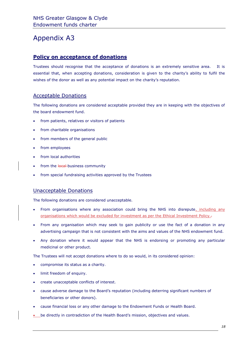# Appendix A3

#### **Policy on acceptance of donations**

Trustees should recognise that the acceptance of donations is an extremely sensitive area. It is essential that, when accepting donations, consideration is given to the charity's ability to fulfil the wishes of the donor as well as any potential impact on the charity's reputation.

#### Acceptable Donations

The following donations are considered acceptable provided they are in keeping with the objectives of the board endowment fund.

- from patients, relatives or visitors of patients
- from charitable organisations
- from members of the general public
- from employees
- from local authorities
- from the local business community
- from special fundraising activities approved by the Trustees

#### Unacceptable Donations

The following donations are considered unacceptable.

- From organisations where any association could bring the NHS into disrepute, including any organisations which would be excluded for investment as per the Ethical Investment Policy.-
- From any organisation which may seek to gain publicity or use the fact of a donation in any advertising campaign that is not consistent with the aims and values of the NHS endowment fund.
- Any donation where it would appear that the NHS is endorsing or promoting any particular medicinal or other product.

The Trustees will not accept donations where to do so would, in its considered opinion:

- compromise its status as a charity.
- limit freedom of enquiry.
- create unacceptable conflicts of interest.
- cause adverse damage to the Board's reputation (including deterring significant numbers of beneficiaries or other donors).
- cause financial loss or any other damage to the Endowment Funds or Health Board.
- be directly in contradiction of the Health Board's mission, objectives and values.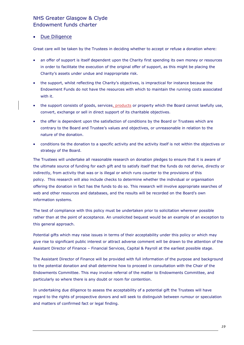#### NHS Greater Glasgow & Clyde Endowment funds charter

#### Due Diligence

Great care will be taken by the Trustees in deciding whether to accept or refuse a donation where:

- an offer of support is itself dependent upon the Charity first spending its own money or resources in order to facilitate the execution of the original offer of support, as this might be placing the Charity's assets under undue and inappropriate risk.
- the support, whilst reflecting the Charity's objectives, is impractical for instance because the Endowment Funds do not have the resources with which to maintain the running costs associated with it.
- the support consists of goods, services, products or property which the Board cannot lawfully use, convert, exchange or sell in direct support of its charitable objectives.
- the offer is dependent upon the satisfaction of conditions by the Board or Trustees which are contrary to the Board and Trustee's values and objectives, or unreasonable in relation to the nature of the donation.
- conditions tie the donation to a specific activity and the activity itself is not within the objectives or strategy of the Board.

The Trustees will undertake all reasonable research on donation pledges to ensure that it is aware of the ultimate source of funding for each gift and to satisfy itself that the funds do not derive, directly or indirectly, from activity that was or is illegal or which runs counter to the provisions of this policy. This research will also include checks to determine whether the individual or organisation offering the donation in fact has the funds to do so. This research will involve appropriate searches of web and other resources and databases, and the results will be recorded on the Board's own information systems.

The test of compliance with this policy must be undertaken prior to solicitation wherever possible rather than at the point of acceptance. An unsolicited bequest would be an example of an exception to this general approach.

Potential gifts which may raise issues in terms of their acceptability under this policy or which may give rise to significant public interest or attract adverse comment will be drawn to the attention of the Assistant Director of Finance – Financial Services, Capital & Payroll at the earliest possible stage.

The Assistant Director of Finance will be provided with full information of the purpose and background to the potential donation and shall determine how to proceed in consultation with the Chair of the Endowments Committee. This may involve referral of the matter to Endowments Committee, and particularly so where there is any doubt or room for contention.

In undertaking due diligence to assess the acceptability of a potential gift the Trustees will have regard to the rights of prospective donors and will seek to distinguish between rumour or speculation and matters of confirmed fact or legal finding.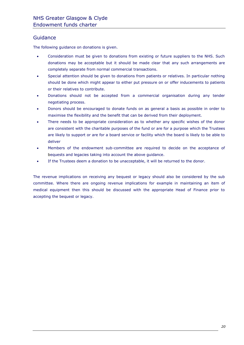#### **Guidance**

The following guidance on donations is given.

- Consideration must be given to donations from existing or future suppliers to the NHS. Such donations may be acceptable but it should be made clear that any such arrangements are completely separate from normal commercial transactions.
- Special attention should be given to donations from patients or relatives. In particular nothing should be done which might appear to either put pressure on or offer inducements to patients or their relatives to contribute.
- Donations should not be accepted from a commercial organisation during any tender negotiating process.
- Donors should be encouraged to donate funds on as general a basis as possible in order to maximise the flexibility and the benefit that can be derived from their deployment.
- There needs to be appropriate consideration as to whether any specific wishes of the donor are consistent with the charitable purposes of the fund or are for a purpose which the Trustees are likely to support or are for a board service or facility which the board is likely to be able to deliver
- Members of the endowment sub-committee are required to decide on the acceptance of bequests and legacies taking into account the above guidance.
- If the Trustees deem a donation to be unacceptable, it will be returned to the donor.

The revenue implications on receiving any bequest or legacy should also be considered by the sub committee. Where there are ongoing revenue implications for example in maintaining an item of medical equipment then this should be discussed with the appropriate Head of Finance prior to accepting the bequest or legacy.